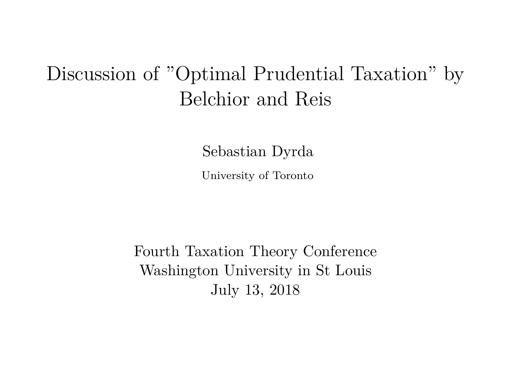# Discussion of "Optimal Prudential Taxation" by Belchior and Reis

Sebastian Dyrda

University of Toronto

Fourth Taxation Theory Conference Washington University in St Louis July 13, 2018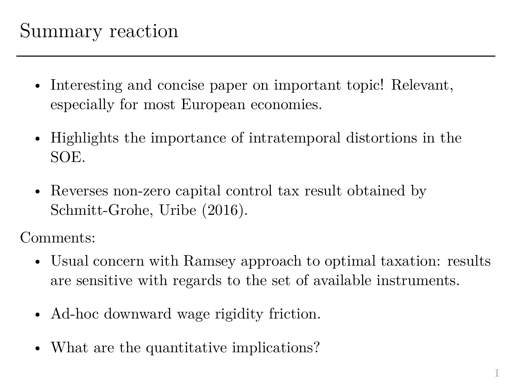### Summary reaction

- Interesting and concise paper on important topic! Relevant, especially for most European economies.
- Highlights the importance of intratemporal distortions in the SOE.
- Reverses non-zero capital control tax result obtained by Schmitt-Grohe, Uribe (2016).

Comments:

- Usual concern with Ramsey approach to optimal taxation: results are sensitive with regards to the set of available instruments.
- Ad-hoc downward wage rigidity friction.
- What are the quantitative implications?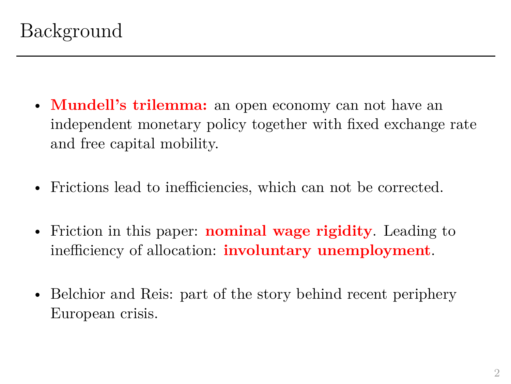- **Mundell's trilemma:** an open economy can not have an independent monetary policy together with fixed exchange rate and free capital mobility.
- Frictions lead to inefficiencies, which can not be corrected.
- Friction in this paper: **nominal wage rigidity**. Leading to inefficiency of allocation: **involuntary unemployment**.
- Belchior and Reis: part of the story behind recent periphery European crisis.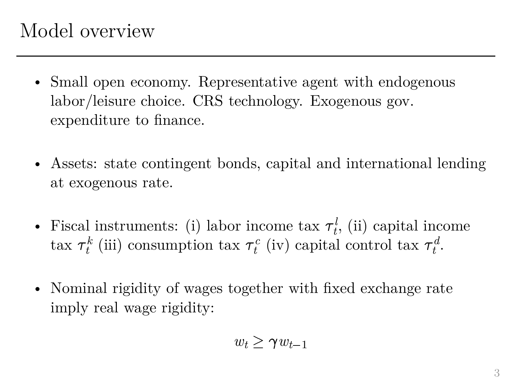## Model overview

- Small open economy. Representative agent with endogenous labor/leisure choice. CRS technology. Exogenous gov. expenditure to finance.
- Assets: state contingent bonds, capital and international lending at exogenous rate.
- Fiscal instruments: (i) labor income tax  $\tau_t^l$ , (ii) capital income tax  $\tau_t^k$  (iii) consumption tax  $\tau_t^c$  (iv) capital control tax  $\tau_t^d$ .
- Nominal rigidity of wages together with fixed exchange rate imply real wage rigidity:<br> $w_t \geq \gamma w_{t-1}$ imply real wage rigidity:

$$
w_t \geq \gamma w_{t-1}
$$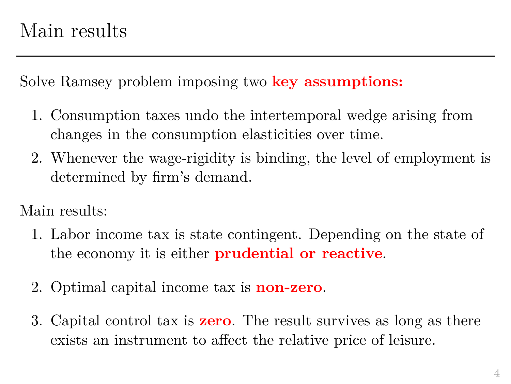Solve Ramsey problem imposing two **key assumptions:**

- 1. Consumption taxes undo the intertemporal wedge arising from changes in the consumption elasticities over time.
- 2. Whenever the wage-rigidity is binding, the level of employment is determined by firm's demand.

Main results:

- 1. Labor income tax is state contingent. Depending on the state of the economy it is either **prudential or reactive**.
- 2. Optimal capital income tax is **non-zero**.
- 3. Capital control tax is **zero**. The result survives as long as there exists an instrument to affect the relative price of leisure.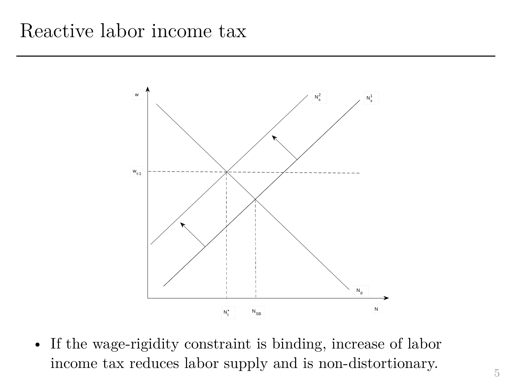#### Reactive labor income tax



• If the wage-rigidity constraint is binding, increase of labor income tax reduces labor supply and is non-distortionary.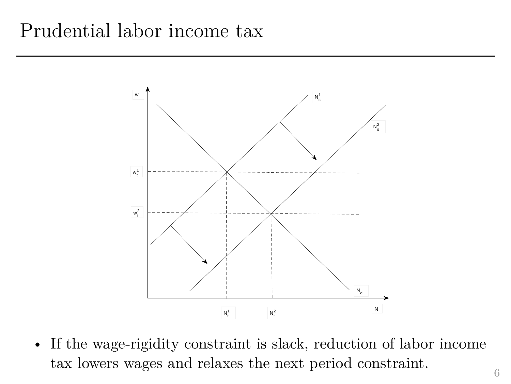#### Prudential labor income tax



• If the wage-rigidity constraint is slack, reduction of labor income tax lowers wages and relaxes the next period constraint.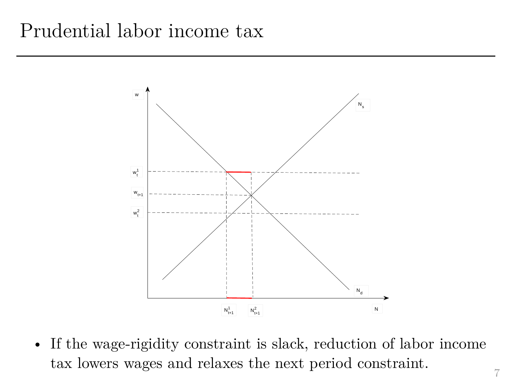#### Prudential labor income tax



• If the wage-rigidity constraint is slack, reduction of labor income tax lowers wages and relaxes the next period constraint.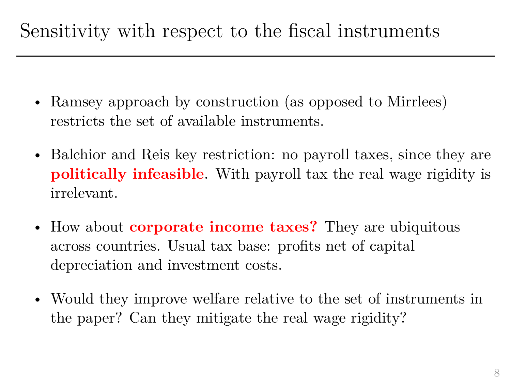# Sensitivity with respect to the fiscal instruments

- Ramsey approach by construction (as opposed to Mirrlees) restricts the set of available instruments.
- Balchior and Reis key restriction: no payroll taxes, since they are **politically infeasible**. With payroll tax the real wage rigidity is irrelevant.
- How about **corporate income taxes?** They are ubiquitous across countries. Usual tax base: profits net of capital depreciation and investment costs.
- Would they improve welfare relative to the set of instruments in the paper? Can they mitigate the real wage rigidity?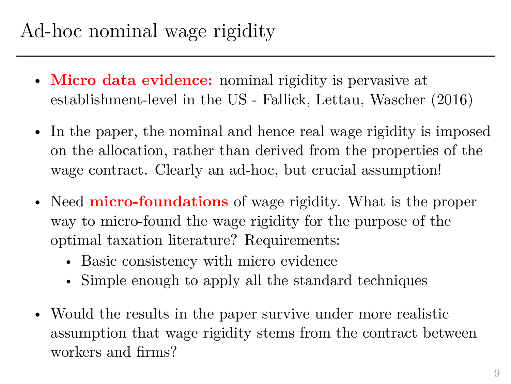- **Micro data evidence:** nominal rigidity is pervasive at establishment-level in the US - Fallick, Lettau, Wascher (2016)
- In the paper, the nominal and hence real wage rigidity is imposed on the allocation, rather than derived from the properties of the wage contract. Clearly an ad-hoc, but crucial assumption!
- Need **micro-foundations** of wage rigidity. What is the proper way to micro-found the wage rigidity for the purpose of the optimal taxation literature? Requirements:
	- Basic consistency with micro evidence
	- Simple enough to apply all the standard techniques
- Would the results in the paper survive under more realistic assumption that wage rigidity stems from the contract between workers and firms?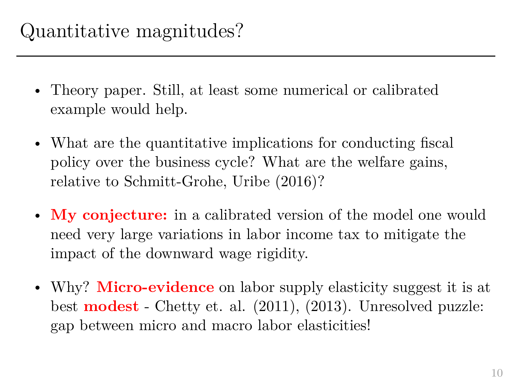- Theory paper. Still, at least some numerical or calibrated example would help.
- What are the quantitative implications for conducting fiscal policy over the business cycle? What are the welfare gains, relative to Schmitt-Grohe, Uribe (2016)?
- My conjecture: in a calibrated version of the model one would need very large variations in labor income tax to mitigate the impact of the downward wage rigidity.
- Why? **Micro-evidence** on labor supply elasticity suggest it is at best **modest** - Chetty et. al. (2011), (2013). Unresolved puzzle: gap between micro and macro labor elasticities!